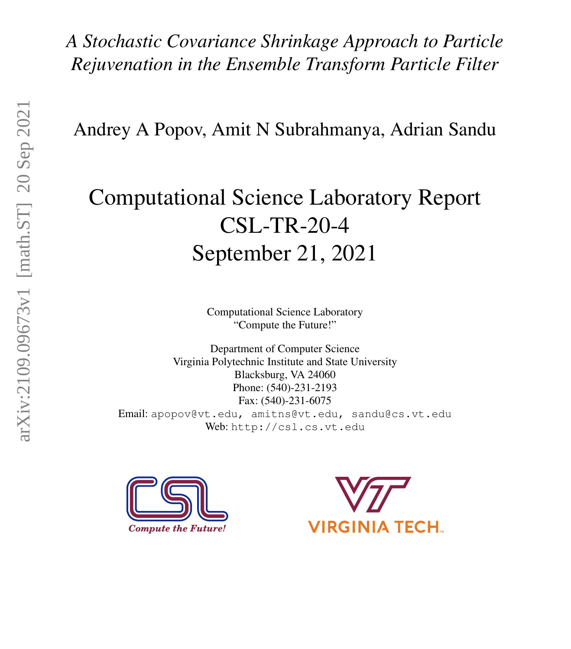## *A Stochastic Covariance Shrinkage Approach to Particle Rejuvenation in the Ensemble Transform Particle Filter*

Andrey A Popov, Amit N Subrahmanya, Adrian Sandu

# Computational Science Laboratory Report CSL-TR-20-4 September 21, 2021

Computational Science Laboratory "Compute the Future!"

Department of Computer Science Virginia Polytechnic Institute and State University Blacksburg, VA 24060 Phone: (540)-231-2193 Fax: (540)-231-6075 Email: apopov@vt.edu, amitns@vt.edu, sandu@cs.vt.edu Web: http://csl.cs.vt.edu



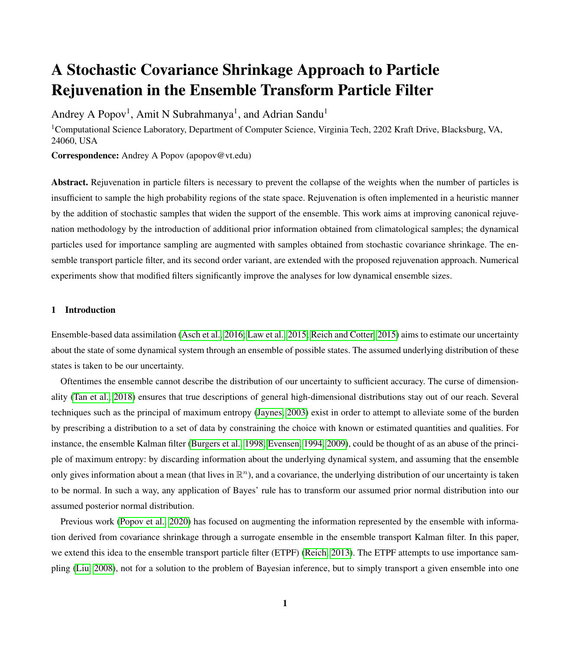### A Stochastic Covariance Shrinkage Approach to Particle Rejuvenation in the Ensemble Transform Particle Filter

Andrey A Popov<sup>1</sup>, Amit N Subrahmanya<sup>1</sup>, and Adrian Sandu<sup>1</sup>

<sup>1</sup>Computational Science Laboratory, Department of Computer Science, Virginia Tech, 2202 Kraft Drive, Blacksburg, VA, 24060, USA

Correspondence: Andrey A Popov (apopov@vt.edu)

Abstract. Rejuvenation in particle filters is necessary to prevent the collapse of the weights when the number of particles is insufficient to sample the high probability regions of the state space. Rejuvenation is often implemented in a heuristic manner by the addition of stochastic samples that widen the support of the ensemble. This work aims at improving canonical rejuvenation methodology by the introduction of additional prior information obtained from climatological samples; the dynamical particles used for importance sampling are augmented with samples obtained from stochastic covariance shrinkage. The ensemble transport particle filter, and its second order variant, are extended with the proposed rejuvenation approach. Numerical experiments show that modified filters significantly improve the analyses for low dynamical ensemble sizes.

#### 1 Introduction

Ensemble-based data assimilation [\(Asch et al., 2016;](#page-14-0) [Law et al., 2015;](#page-14-1) [Reich and Cotter, 2015\)](#page-15-0) aims to estimate our uncertainty about the state of some dynamical system through an ensemble of possible states. The assumed underlying distribution of these states is taken to be our uncertainty.

Oftentimes the ensemble cannot describe the distribution of our uncertainty to sufficient accuracy. The curse of dimensionality [\(Tan et al., 2018\)](#page-15-1) ensures that true descriptions of general high-dimensional distributions stay out of our reach. Several techniques such as the principal of maximum entropy [\(Jaynes, 2003\)](#page-14-2) exist in order to attempt to alleviate some of the burden by prescribing a distribution to a set of data by constraining the choice with known or estimated quantities and qualities. For instance, the ensemble Kalman filter [\(Burgers et al., 1998;](#page-14-3) [Evensen, 1994,](#page-14-4) [2009\)](#page-14-5), could be thought of as an abuse of the principle of maximum entropy: by discarding information about the underlying dynamical system, and assuming that the ensemble only gives information about a mean (that lives in  $\mathbb{R}^n$ ), and a covariance, the underlying distribution of our uncertainty is taken to be normal. In such a way, any application of Bayes' rule has to transform our assumed prior normal distribution into our assumed posterior normal distribution.

Previous work [\(Popov et al., 2020\)](#page-15-2) has focused on augmenting the information represented by the ensemble with information derived from covariance shrinkage through a surrogate ensemble in the ensemble transport Kalman filter. In this paper, we extend this idea to the ensemble transport particle filter (ETPF) [\(Reich, 2013\)](#page-15-3). The ETPF attempts to use importance sampling [\(Liu, 2008\)](#page-14-6), not for a solution to the problem of Bayesian inference, but to simply transport a given ensemble into one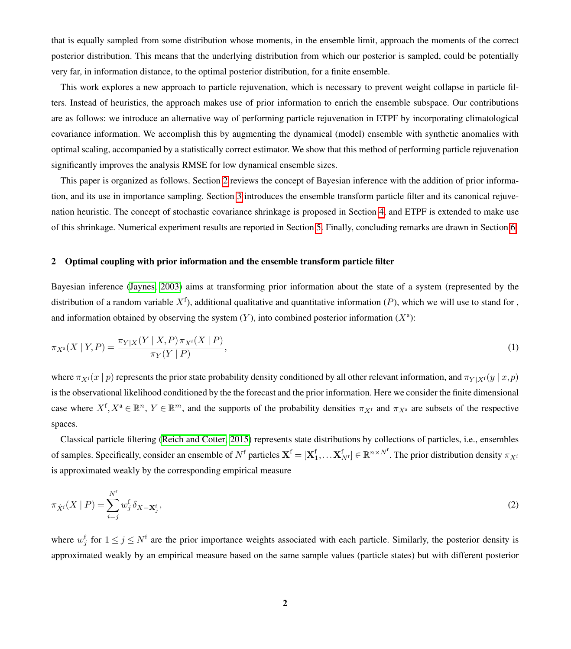that is equally sampled from some distribution whose moments, in the ensemble limit, approach the moments of the correct posterior distribution. This means that the underlying distribution from which our posterior is sampled, could be potentially very far, in information distance, to the optimal posterior distribution, for a finite ensemble.

This work explores a new approach to particle rejuvenation, which is necessary to prevent weight collapse in particle filters. Instead of heuristics, the approach makes use of prior information to enrich the ensemble subspace. Our contributions are as follows: we introduce an alternative way of performing particle rejuvenation in ETPF by incorporating climatological covariance information. We accomplish this by augmenting the dynamical (model) ensemble with synthetic anomalies with optimal scaling, accompanied by a statistically correct estimator. We show that this method of performing particle rejuvenation significantly improves the analysis RMSE for low dynamical ensemble sizes.

This paper is organized as follows. Section [2](#page-2-0) reviews the concept of Bayesian inference with the addition of prior information, and its use in importance sampling. Section [3](#page-4-0) introduces the ensemble transform particle filter and its canonical rejuvenation heuristic. The concept of stochastic covariance shrinkage is proposed in Section [4,](#page-5-0) and ETPF is extended to make use of this shrinkage. Numerical experiment results are reported in Section [5.](#page-9-0) Finally, concluding remarks are drawn in Section [6.](#page-13-0)

#### <span id="page-2-0"></span>2 Optimal coupling with prior information and the ensemble transform particle filter

Bayesian inference [\(Jaynes, 2003\)](#page-14-2) aims at transforming prior information about the state of a system (represented by the distribution of a random variable  $X^f$ ), additional qualitative and quantitative information (P), which we will use to stand for, and information obtained by observing the system  $(Y)$ , into combined posterior information  $(X^a)$ :

<span id="page-2-1"></span>
$$
\pi_{X^{\mathfrak{a}}}(X \mid Y, P) = \frac{\pi_{Y \mid X}(Y \mid X, P) \pi_{X^{\mathfrak{f}}}(X \mid P)}{\pi_Y(Y \mid P)},\tag{1}
$$

where  $\pi_{X}(\alpha | p)$  represents the prior state probability density conditioned by all other relevant information, and  $\pi_{Y|X}(\gamma | x, p)$ is the observational likelihood conditioned by the the forecast and the prior information. Here we consider the finite dimensional case where  $X^f, X^a \in \mathbb{R}^n$ ,  $Y \in \mathbb{R}^m$ , and the supports of the probability densities  $\pi_{X^f}$  and  $\pi_{X^a}$  are subsets of the respective spaces.

Classical particle filtering [\(Reich and Cotter, 2015\)](#page-15-0) represents state distributions by collections of particles, i.e., ensembles of samples. Specifically, consider an ensemble of  $N^f$  particles  $\mathbf{X}^f = [\mathbf{X}^f_1, \dots \mathbf{X}^f_{N^f}] \in \mathbb{R}^{n \times N^f}$ . The prior distribution density  $\pi_{X^f}$ is approximated weakly by the corresponding empirical measure

<span id="page-2-2"></span>
$$
\pi_{\hat{X}^{\mathsf{f}}}(X \mid P) = \sum_{i=j}^{N^{\mathsf{f}}} w_j^{\mathsf{f}} \delta_{X - \mathbf{X}_j^{\mathsf{f}}},\tag{2}
$$

where  $w_j^f$  for  $1 \le j \le N^f$  are the prior importance weights associated with each particle. Similarly, the posterior density is approximated weakly by an empirical measure based on the same sample values (particle states) but with different posterior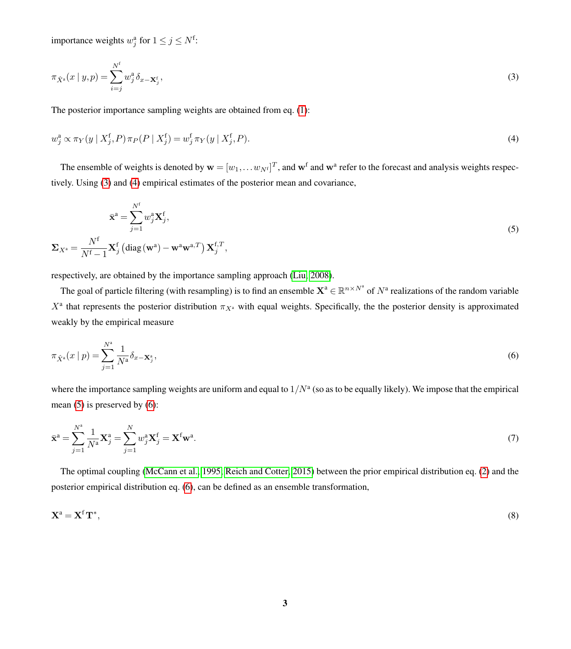<span id="page-3-0"></span>importance weights  $w_j^{\text{a}}$  for  $1 \le j \le N^{\text{f}}$ :

$$
\pi_{\hat{X}^{\mathsf{a}}}(x \mid y, p) = \sum_{i=j}^{N^{\mathsf{f}}} w_j^{\mathsf{a}} \delta_{x - \mathbf{X}_j^{\mathsf{f}}},\tag{3}
$$

<span id="page-3-1"></span>The posterior importance sampling weights are obtained from eq. [\(1\)](#page-2-1):

$$
w_j^a \propto \pi_Y(y \mid X_j^f, P) \pi_P(P \mid X_j^f) = w_j^f \pi_Y(y \mid X_j^f, P). \tag{4}
$$

<span id="page-3-2"></span>The ensemble of weights is denoted by  $\mathbf{w} = [w_1, \dots w_{N^f}]^T$ , and  $\mathbf{w}^f$  and  $\mathbf{w}^a$  refer to the forecast and analysis weights respectively. Using [\(3\)](#page-3-0) and [\(4\)](#page-3-1) empirical estimates of the posterior mean and covariance,

$$
\bar{\mathbf{x}}^{\mathbf{a}} = \sum_{j=1}^{N^f} w_j^{\mathbf{a}} \mathbf{X}_j^f,
$$
  

$$
\Sigma_{X^{\mathbf{a}}} = \frac{N^f}{N^f - 1} \mathbf{X}_j^f \left( \text{diag}(\mathbf{w}^{\mathbf{a}}) - \mathbf{w}^{\mathbf{a}} \mathbf{w}^{\mathbf{a},T} \right) \mathbf{X}_j^{f,T},
$$
 (5)

respectively, are obtained by the importance sampling approach [\(Liu, 2008\)](#page-14-6).

<span id="page-3-3"></span>The goal of particle filtering (with resampling) is to find an ensemble  $\mathbf{X}^{\text{a}}\in\mathbb{R}^{n\times N^{\text{a}}}$  of  $N^{\text{a}}$  realizations of the random variable  $X^a$  that represents the posterior distribution  $\pi_{X^a}$  with equal weights. Specifically, the the posterior density is approximated weakly by the empirical measure

$$
\pi_{\hat{X}^{\mathsf{a}}}(x \mid p) = \sum_{j=1}^{N^{\mathsf{a}}} \frac{1}{N^{\mathsf{a}}} \delta_{x - \mathbf{X}_{j}^{\mathsf{a}}},\tag{6}
$$

where the importance sampling weights are uniform and equal to  $1/N^a$  (so as to be equally likely). We impose that the empirical mean  $(5)$  is preserved by  $(6)$ :

$$
\bar{\mathbf{x}}^{\mathbf{a}} = \sum_{j=1}^{N^{\mathbf{a}}} \frac{1}{N^{\mathbf{a}}} \mathbf{X}_{j}^{\mathbf{a}} = \sum_{j=1}^{N} w_{j}^{\mathbf{a}} \mathbf{X}_{j}^{\mathbf{f}} = \mathbf{X}^{\mathbf{f}} \mathbf{w}^{\mathbf{a}}.
$$
\n(7)

<span id="page-3-4"></span>The optimal coupling [\(McCann et al., 1995;](#page-14-7) [Reich and Cotter, 2015\)](#page-15-0) between the prior empirical distribution eq. [\(2\)](#page-2-2) and the posterior empirical distribution eq. [\(6\)](#page-3-3), can be defined as an ensemble transformation,

$$
\mathbf{X}^{\mathbf{a}} = \mathbf{X}^{\mathbf{f}} \mathbf{T}^*,\tag{8}
$$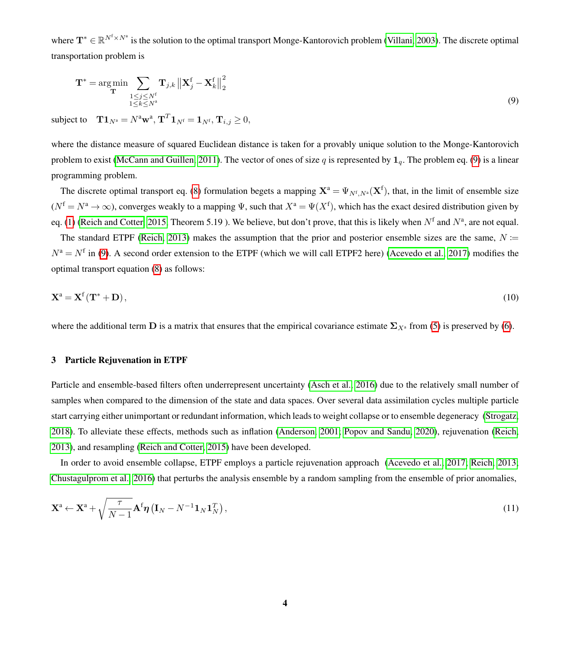where  $\mathbf{T}^* \in \mathbb{R}^{N^f \times N^a}$  is the solution to the optimal transport Monge-Kantorovich problem [\(Villani, 2003\)](#page-15-4). The discrete optimal transportation problem is

<span id="page-4-1"></span>
$$
\mathbf{T}^* = \underset{\mathbf{T}}{\arg\min} \sum_{\substack{1 \le j \le N^f \\ 1 \le k \le N^a}} \mathbf{T}_{j,k} \left\| \mathbf{X}_j^f - \mathbf{X}_k^f \right\|_2^2
$$
\n(9)

subject to  $\mathbf{T} \mathbf{1}_{N^a} = N^a \mathbf{w}^a, \mathbf{T}^T \mathbf{1}_{N^f} = \mathbf{1}_{N^f}, \mathbf{T}_{i,j} \ge 0,$ 

where the distance measure of squared Euclidean distance is taken for a provably unique solution to the Monge-Kantorovich problem to exist [\(McCann and Guillen, 2011\)](#page-14-8). The vector of ones of size q is represented by  $1<sub>q</sub>$ . The problem eq. [\(9\)](#page-4-1) is a linear programming problem.

The discrete optimal transport eq. [\(8\)](#page-3-4) formulation begets a mapping  $X^a = \Psi_{N^f,N^a}(X^f)$ , that, in the limit of ensemble size  $(N^f = N^a \to \infty)$ , converges weakly to a mapping  $\Psi$ , such that  $X^a = \Psi(X^f)$ , which has the exact desired distribution given by eq. [\(1\)](#page-2-1) [\(Reich and Cotter, 2015,](#page-15-0) Theorem 5.19). We believe, but don't prove, that this is likely when  $N^f$  and  $N^a$ , are not equal.

The standard ETPF [\(Reich, 2013\)](#page-15-3) makes the assumption that the prior and posterior ensemble sizes are the same,  $N =$  $N^a = N^f$  in [\(9\)](#page-4-1). A second order extension to the ETPF (which we will call ETPF2 here) [\(Acevedo et al., 2017\)](#page-14-9) modifies the optimal transport equation [\(8\)](#page-3-4) as follows:

$$
\mathbf{X}^{\mathbf{a}} = \mathbf{X}^{\mathbf{f}} (\mathbf{T}^* + \mathbf{D}), \tag{10}
$$

where the additional term **D** is a matrix that ensures that the empirical covariance estimate  $\Sigma_{X^a}$  from [\(5\)](#page-3-2) is preserved by [\(6\)](#page-3-3).

#### <span id="page-4-0"></span>3 Particle Rejuvenation in ETPF

Particle and ensemble-based filters often underrepresent uncertainty [\(Asch et al., 2016\)](#page-14-0) due to the relatively small number of samples when compared to the dimension of the state and data spaces. Over several data assimilation cycles multiple particle start carrying either unimportant or redundant information, which leads to weight collapse or to ensemble degeneracy [\(Strogatz,](#page-15-5) [2018\)](#page-15-5). To alleviate these effects, methods such as inflation [\(Anderson, 2001;](#page-14-10) [Popov and Sandu, 2020\)](#page-15-6), rejuvenation [\(Reich,](#page-15-3) [2013\)](#page-15-3), and resampling [\(Reich and Cotter, 2015\)](#page-15-0) have been developed.

<span id="page-4-2"></span>In order to avoid ensemble collapse, ETPF employs a particle rejuvenation approach [\(Acevedo et al., 2017;](#page-14-9) [Reich, 2013;](#page-15-3) [Chustagulprom et al., 2016\)](#page-14-11) that perturbs the analysis ensemble by a random sampling from the ensemble of prior anomalies,

$$
\mathbf{X}^{\mathbf{a}} \leftarrow \mathbf{X}^{\mathbf{a}} + \sqrt{\frac{\tau}{N-1}} \mathbf{A}^{\mathbf{f}} \boldsymbol{\eta} \left( \mathbf{I}_{N} - N^{-1} \mathbf{1}_{N} \mathbf{1}_{N}^{T} \right), \tag{11}
$$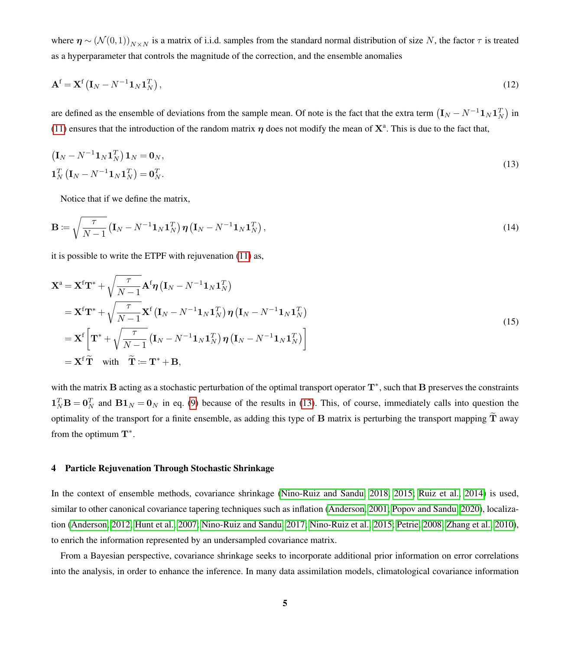<span id="page-5-3"></span>where  $\eta \sim (N(0,1))_{N\times N}$  is a matrix of i.i.d. samples from the standard normal distribution of size N, the factor  $\tau$  is treated as a hyperparameter that controls the magnitude of the correction, and the ensemble anomalies

$$
\mathbf{A}^{\mathrm{f}} = \mathbf{X}^{\mathrm{f}} \left( \mathbf{I}_N - N^{-1} \mathbf{1}_N \mathbf{1}_N^T \right),\tag{12}
$$

are defined as the ensemble of deviations from the sample mean. Of note is the fact that the extra term  $(I_N - N^{-1}1_N1_N^T)$  in [\(11\)](#page-4-2) ensures that the introduction of the random matrix  $\eta$  does not modify the mean of  $X^a$ . This is due to the fact that,

$$
\left(\mathbf{I}_N - N^{-1} \mathbf{1}_N \mathbf{1}_N^T\right) \mathbf{1}_N = \mathbf{0}_N,
$$
\n
$$
\mathbf{1}_N^T \left(\mathbf{I}_N - N^{-1} \mathbf{1}_N \mathbf{1}_N^T\right) = \mathbf{0}_N^T.
$$
\n(13)

<span id="page-5-4"></span><span id="page-5-2"></span><span id="page-5-1"></span>Notice that if we define the matrix,

$$
\mathbf{B} \coloneqq \sqrt{\frac{\tau}{N-1}} \left( \mathbf{I}_N - N^{-1} \mathbf{1}_N \mathbf{1}_N^T \right) \boldsymbol{\eta} \left( \mathbf{I}_N - N^{-1} \mathbf{1}_N \mathbf{1}_N^T \right), \tag{14}
$$

it is possible to write the ETPF with rejuvenation [\(11\)](#page-4-2) as,

$$
\mathbf{X}^{a} = \mathbf{X}^{f} \mathbf{T}^{*} + \sqrt{\frac{\tau}{N-1}} \mathbf{A}^{f} \eta \left( \mathbf{I}_{N} - N^{-1} \mathbf{1}_{N} \mathbf{1}_{N}^{T} \right)
$$
\n
$$
= \mathbf{X}^{f} \mathbf{T}^{*} + \sqrt{\frac{\tau}{N-1}} \mathbf{X}^{f} \left( \mathbf{I}_{N} - N^{-1} \mathbf{1}_{N} \mathbf{1}_{N}^{T} \right) \eta \left( \mathbf{I}_{N} - N^{-1} \mathbf{1}_{N} \mathbf{1}_{N}^{T} \right)
$$
\n
$$
= \mathbf{X}^{f} \left[ \mathbf{T}^{*} + \sqrt{\frac{\tau}{N-1}} \left( \mathbf{I}_{N} - N^{-1} \mathbf{1}_{N} \mathbf{1}_{N}^{T} \right) \eta \left( \mathbf{I}_{N} - N^{-1} \mathbf{1}_{N} \mathbf{1}_{N}^{T} \right) \right]
$$
\n
$$
= \mathbf{X}^{f} \widetilde{\mathbf{T}} \quad \text{with} \quad \widetilde{\mathbf{T}} := \mathbf{T}^{*} + \mathbf{B}, \tag{15}
$$

with the matrix  $B$  acting as a stochastic perturbation of the optimal transport operator  $T^*$ , such that  $B$  preserves the constraints  $\mathbf{1}_N^T \mathbf{B} = \mathbf{0}_N^T$  and  $\mathbf{B} \mathbf{1}_N = \mathbf{0}_N$  in eq. [\(9\)](#page-4-1) because of the results in [\(13\)](#page-5-1). This, of course, immediately calls into question the optimality of the transport for a finite ensemble, as adding this type of B matrix is perturbing the transport mapping  $\tilde{T}$  away from the optimum  $T^*$ .

#### <span id="page-5-0"></span>4 Particle Rejuvenation Through Stochastic Shrinkage

In the context of ensemble methods, covariance shrinkage [\(Nino-Ruiz and Sandu, 2018,](#page-15-7) [2015;](#page-14-12) [Ruiz et al., 2014\)](#page-15-8) is used, similar to other canonical covariance tapering techniques such as inflation [\(Anderson, 2001;](#page-14-10) [Popov and Sandu, 2020\)](#page-15-6), localization [\(Anderson, 2012;](#page-14-13) [Hunt et al., 2007;](#page-14-14) [Nino-Ruiz and Sandu, 2017;](#page-14-15) [Nino-Ruiz et al., 2015;](#page-15-9) [Petrie, 2008;](#page-15-10) [Zhang et al., 2010\)](#page-15-11), to enrich the information represented by an undersampled covariance matrix.

From a Bayesian perspective, covariance shrinkage seeks to incorporate additional prior information on error correlations into the analysis, in order to enhance the inference. In many data assimilation models, climatological covariance information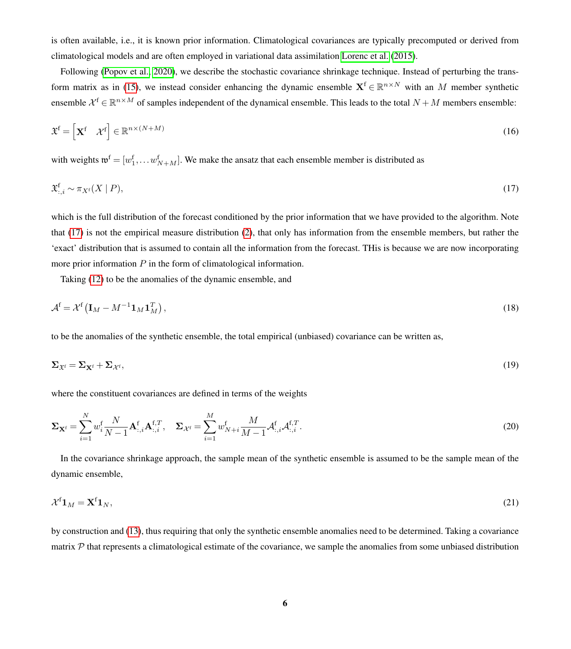is often available, i.e., it is known prior information. Climatological covariances are typically precomputed or derived from climatological models and are often employed in variational data assimilation [Lorenc et al.](#page-14-16) [\(2015\)](#page-14-16).

<span id="page-6-1"></span>Following [\(Popov et al., 2020\)](#page-15-2), we describe the stochastic covariance shrinkage technique. Instead of perturbing the trans-form matrix as in [\(15\)](#page-5-2), we instead consider enhancing the dynamic ensemble  $X^f \in \mathbb{R}^{n \times N}$  with an M member synthetic ensemble  $X^f \in \mathbb{R}^{n \times M}$  of samples independent of the dynamical ensemble. This leads to the total  $N + M$  members ensemble:

<span id="page-6-0"></span>
$$
\mathfrak{X}^{\mathbf{f}} = \left[ \mathbf{X}^{\mathbf{f}} \quad \mathcal{X}^{\mathbf{f}} \right] \in \mathbb{R}^{n \times (N+M)} \tag{16}
$$

with weights  $\mathbf{w}^f = [w_1^f, \dots w_{N+M}^f]$ . We make the ansatz that each ensemble member is distributed as

$$
\mathfrak{X}_{:,i}^{\mathbf{f}} \sim \pi_{X^{\mathbf{f}}}(X \mid P),\tag{17}
$$

which is the full distribution of the forecast conditioned by the prior information that we have provided to the algorithm. Note that [\(17\)](#page-6-0) is not the empirical measure distribution [\(2\)](#page-2-2), that only has information from the ensemble members, but rather the 'exact' distribution that is assumed to contain all the information from the forecast. THis is because we are now incorporating more prior information  $P$  in the form of climatological information.

Taking [\(12\)](#page-5-3) to be the anomalies of the dynamic ensemble, and

$$
\mathcal{A}^{\mathbf{f}} = \mathcal{X}^{\mathbf{f}} \left( \mathbf{I}_{M} - M^{-1} \mathbf{1}_{M} \mathbf{1}_{M}^{T} \right), \tag{18}
$$

to be the anomalies of the synthetic ensemble, the total empirical (unbiased) covariance can be written as,

$$
\Sigma_{\mathfrak{X}^{\mathfrak{f}}} = \Sigma_{\mathbf{X}^{\mathfrak{f}}} + \Sigma_{\mathcal{X}^{\mathfrak{f}}},\tag{19}
$$

where the constituent covariances are defined in terms of the weights

$$
\Sigma_{\mathbf{X}^{\mathrm{f}}} = \sum_{i=1}^{N} w_i^{\mathrm{f}} \frac{N}{N-1} \mathbf{A}_{:,i}^{\mathrm{f}} \mathbf{A}_{:,i}^{\mathrm{f},T}, \quad \Sigma_{\mathcal{X}^{\mathrm{f}}} = \sum_{i=1}^{M} w_{N+i}^{\mathrm{f}} \frac{M}{M-1} \mathcal{A}_{:,i}^{\mathrm{f}} \mathcal{A}_{:,i}^{\mathrm{f},T}.
$$
 (20)

In the covariance shrinkage approach, the sample mean of the synthetic ensemble is assumed to be the sample mean of the dynamic ensemble,

$$
\mathcal{X}^{\mathbf{f}}\mathbf{1}_M = \mathbf{X}^{\mathbf{f}}\mathbf{1}_N,\tag{21}
$$

by construction and [\(13\)](#page-5-1), thus requiring that only the synthetic ensemble anomalies need to be determined. Taking a covariance matrix  $P$  that represents a climatological estimate of the covariance, we sample the anomalies from some unbiased distribution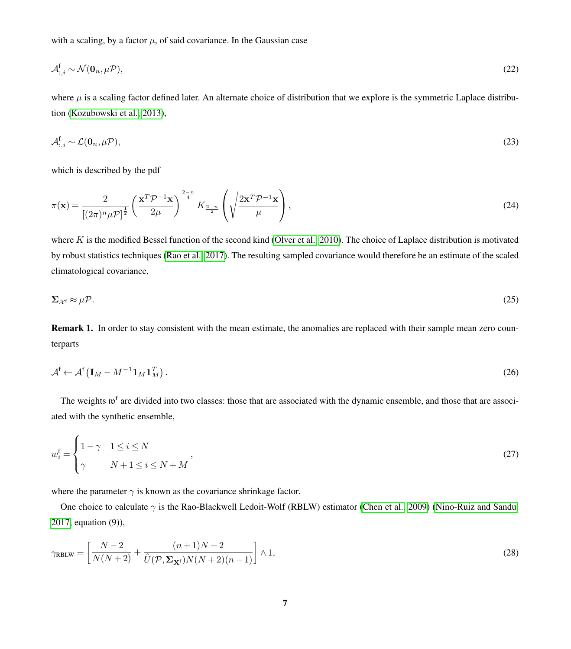with a scaling, by a factor  $\mu$ , of said covariance. In the Gaussian case

$$
\mathcal{A}_{:,i}^{\mathbf{f}} \sim \mathcal{N}(\mathbf{0}_n, \mu \mathcal{P}),\tag{22}
$$

where  $\mu$  is a scaling factor defined later. An alternate choice of distribution that we explore is the symmetric Laplace distribution [\(Kozubowski et al., 2013\)](#page-14-17),

$$
\mathcal{A}_{:,i}^{\mathbf{f}} \sim \mathcal{L}(\mathbf{0}_n, \mu \mathcal{P}),\tag{23}
$$

which is described by the pdf

$$
\pi(\mathbf{x}) = \frac{2}{\left[ (2\pi)^n \mu \mathcal{P} \right]^{\frac{1}{2}}} \left( \frac{\mathbf{x}^T \mathcal{P}^{-1} \mathbf{x}}{2\mu} \right)^{\frac{2-n}{4}} K_{\frac{2-n}{2}} \left( \sqrt{\frac{2\mathbf{x}^T \mathcal{P}^{-1} \mathbf{x}}{\mu}} \right),\tag{24}
$$

where K is the modified Bessel function of the second kind [\(Olver et al., 2010\)](#page-15-12). The choice of Laplace distribution is motivated by robust statistics techniques [\(Rao et al., 2017\)](#page-15-13). The resulting sampled covariance would therefore be an estimate of the scaled climatological covariance,

$$
\Sigma_{\mathcal{X}^{\text{f}}} \approx \mu \mathcal{P}. \tag{25}
$$

Remark 1. In order to stay consistent with the mean estimate, the anomalies are replaced with their sample mean zero counterparts

$$
\mathcal{A}^{\mathbf{f}} \leftarrow \mathcal{A}^{\mathbf{f}} \left( \mathbf{I}_M - M^{-1} \mathbf{1}_M \mathbf{1}_M^T \right). \tag{26}
$$

The weights  $\mathfrak{w}^f$  are divided into two classes: those that are associated with the dynamic ensemble, and those that are associated with the synthetic ensemble,

$$
w_i^{\text{f}} = \begin{cases} 1 - \gamma & 1 \le i \le N \\ \gamma & N + 1 \le i \le N + M \end{cases} \tag{27}
$$

where the parameter  $\gamma$  is known as the covariance shrinkage factor.

<span id="page-7-0"></span>One choice to calculate γ is the Rao-Blackwell Ledoit-Wolf (RBLW) estimator [\(Chen et al., 2009\)](#page-14-18) [\(Nino-Ruiz and Sandu,](#page-14-15) [2017,](#page-14-15) equation (9)),

$$
\gamma_{\text{RBLW}} = \left[ \frac{N-2}{N(N+2)} + \frac{(n+1)N-2}{\hat{U}(\mathcal{P}, \Sigma_{\mathbf{X}^{\text{f}}})N(N+2)(n-1)} \right] \wedge 1, \tag{28}
$$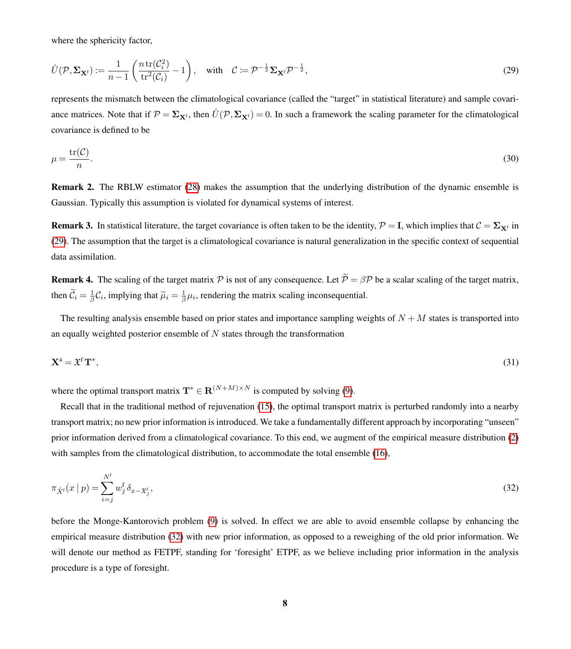<span id="page-8-0"></span>where the sphericity factor,

$$
\hat{U}(\mathcal{P}, \Sigma_{\mathbf{X}^f}) := \frac{1}{n-1} \left( \frac{n \operatorname{tr}(\mathcal{C}_i^2)}{\operatorname{tr}^2(\mathcal{C}_i)} - 1 \right), \quad \text{with} \quad \mathcal{C} := \mathcal{P}^{-\frac{1}{2}} \Sigma_{\mathbf{X}^f} \mathcal{P}^{-\frac{1}{2}},\tag{29}
$$

<span id="page-8-2"></span>represents the mismatch between the climatological covariance (called the "target" in statistical literature) and sample covariance matrices. Note that if  $\mathcal{P} = \Sigma_{\mathbf{X}^f}$ , then  $\hat{U}(\mathcal{P}, \Sigma_{\mathbf{X}^f}) = 0$ . In such a framework the scaling parameter for the climatological covariance is defined to be

$$
\mu = \frac{\text{tr}(\mathcal{C})}{n}.\tag{30}
$$

Remark 2. The RBLW estimator [\(28\)](#page-7-0) makes the assumption that the underlying distribution of the dynamic ensemble is Gaussian. Typically this assumption is violated for dynamical systems of interest.

**Remark 3.** In statistical literature, the target covariance is often taken to be the identity,  $P = I$ , which implies that  $C = \sum_{x}$  in [\(29\)](#page-8-0). The assumption that the target is a climatological covariance is natural generalization in the specific context of sequential data assimilation.

**Remark 4.** The scaling of the target matrix  $P$  is not of any consequence. Let  $\tilde{P} = \beta P$  be a scalar scaling of the target matrix, then  $\tilde{C}_i = \frac{1}{\beta} C_i$ , implying that  $\tilde{\mu}_i = \frac{1}{\beta} \mu_i$ , rendering the matrix scaling inconsequential.

The resulting analysis ensemble based on prior states and importance sampling weights of  $N + M$  states is transported into an equally weighted posterior ensemble of  $N$  states through the transformation

$$
\mathbf{X}^{\mathbf{a}} = \mathfrak{X}^{\mathbf{f}} \mathbf{T}^*,\tag{31}
$$

where the optimal transport matrix  $\mathbf{T}^* \in \mathbf{R}^{(N+M) \times N}$  is computed by solving [\(9\)](#page-4-1).

Recall that in the traditional method of rejuvenation [\(15\)](#page-5-2), the optimal transport matrix is perturbed randomly into a nearby transport matrix; no new prior information is introduced. We take a fundamentally different approach by incorporating "unseen" prior information derived from a climatological covariance. To this end, we augment of the empirical measure distribution [\(2\)](#page-2-2) with samples from the climatological distribution, to accommodate the total ensemble [\(16\)](#page-6-1),

<span id="page-8-1"></span>
$$
\pi_{\hat{X}^{\mathrm{f}}}(x \mid p) = \sum_{i=j}^{N^{\mathrm{f}}} w_j^{\mathrm{f}} \,\delta_{x-\mathfrak{X}_j^{\mathrm{f}}},\tag{32}
$$

before the Monge-Kantorovich problem [\(9\)](#page-4-1) is solved. In effect we are able to avoid ensemble collapse by enhancing the empirical measure distribution [\(32\)](#page-8-1) with new prior information, as opposed to a reweighing of the old prior information. We will denote our method as FETPF, standing for 'foresight' ETPF, as we believe including prior information in the analysis procedure is a type of foresight.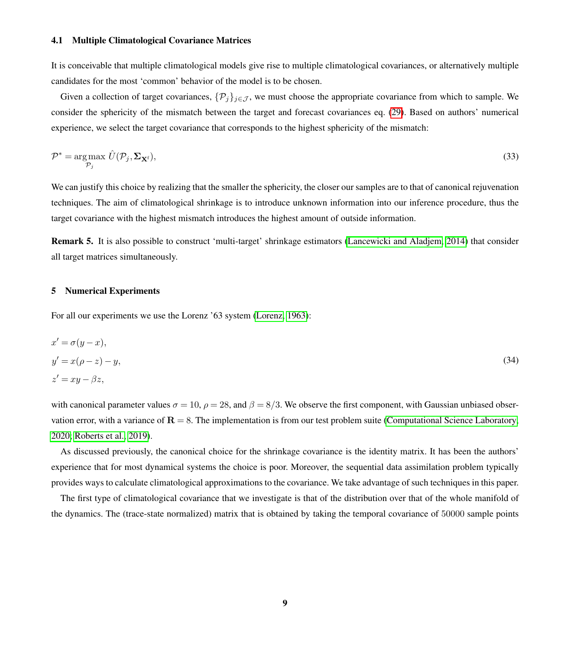#### 4.1 Multiple Climatological Covariance Matrices

It is conceivable that multiple climatological models give rise to multiple climatological covariances, or alternatively multiple candidates for the most 'common' behavior of the model is to be chosen.

Given a collection of target covariances,  $\{\mathcal{P}_j\}_{j\in\mathcal{J}}$ , we must choose the appropriate covariance from which to sample. We consider the sphericity of the mismatch between the target and forecast covariances eq. [\(29\)](#page-8-0). Based on authors' numerical experience, we select the target covariance that corresponds to the highest sphericity of the mismatch:

$$
\mathcal{P}^* = \underset{\mathcal{P}_j}{\text{argmax}} \hat{U}(\mathcal{P}_j, \Sigma_{\mathbf{X}^i}),\tag{33}
$$

We can justify this choice by realizing that the smaller the sphericity, the closer our samples are to that of canonical rejuvenation techniques. The aim of climatological shrinkage is to introduce unknown information into our inference procedure, thus the target covariance with the highest mismatch introduces the highest amount of outside information.

Remark 5. It is also possible to construct 'multi-target' shrinkage estimators [\(Lancewicki and Aladjem, 2014\)](#page-14-19) that consider all target matrices simultaneously.

#### <span id="page-9-0"></span>5 Numerical Experiments

For all our experiments we use the Lorenz '63 system [\(Lorenz, 1963\)](#page-14-20):

$$
x' = \sigma(y - x),
$$
  
\n
$$
y' = x(\rho - z) - y,
$$
  
\n
$$
z' = xy - \beta z,
$$
\n(34)

with canonical parameter values  $\sigma = 10$ ,  $\rho = 28$ , and  $\beta = 8/3$ . We observe the first component, with Gaussian unbiased observation error, with a variance of  $\mathbf{R} = 8$ . The implementation is from our test problem suite [\(Computational Science Laboratory,](#page-14-21) [2020;](#page-14-21) [Roberts et al., 2019\)](#page-15-14).

As discussed previously, the canonical choice for the shrinkage covariance is the identity matrix. It has been the authors' experience that for most dynamical systems the choice is poor. Moreover, the sequential data assimilation problem typically provides ways to calculate climatological approximations to the covariance. We take advantage of such techniques in this paper.

The first type of climatological covariance that we investigate is that of the distribution over that of the whole manifold of the dynamics. The (trace-state normalized) matrix that is obtained by taking the temporal covariance of 50000 sample points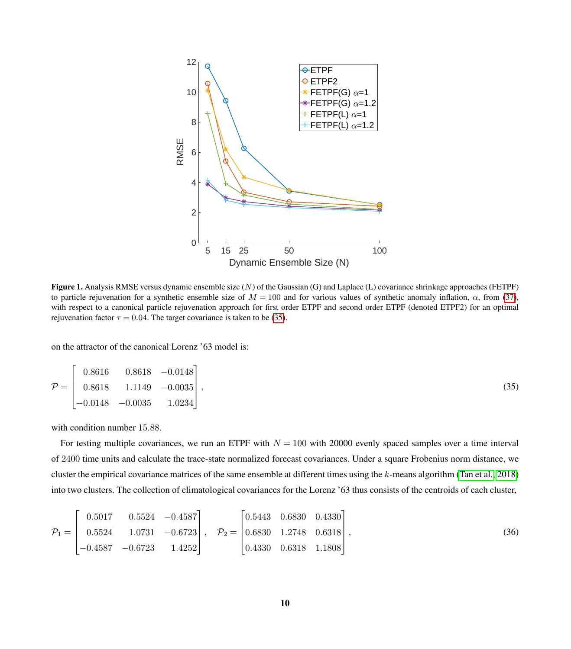<span id="page-10-2"></span>

**Figure 1.** Analysis RMSE versus dynamic ensemble size  $(N)$  of the Gaussian (G) and Laplace (L) covariance shrinkage approaches (FETPF) to particle rejuvenation for a synthetic ensemble size of  $M = 100$  and for various values of synthetic anomaly inflation, α, from [\(37\)](#page-11-0), with respect to a canonical particle rejuvenation approach for first order ETPF and second order ETPF (denoted ETPF2) for an optimal rejuvenation factor  $\tau = 0.04$ . The target covariance is taken to be [\(35\)](#page-10-0).

<span id="page-10-0"></span>on the attractor of the canonical Lorenz '63 model is:

$$
\mathcal{P} = \begin{bmatrix} 0.8616 & 0.8618 & -0.0148 \\ 0.8618 & 1.1149 & -0.0035 \\ -0.0148 & -0.0035 & 1.0234 \end{bmatrix},
$$
(35)

with condition number 15.88.

For testing multiple covariances, we run an ETPF with  $N = 100$  with 20000 evenly spaced samples over a time interval of 2400 time units and calculate the trace-state normalized forecast covariances. Under a square Frobenius norm distance, we cluster the empirical covariance matrices of the same ensemble at different times using the k-means algorithm [\(Tan et al., 2018\)](#page-15-1) into two clusters. The collection of climatological covariances for the Lorenz '63 thus consists of the centroids of each cluster,

<span id="page-10-1"></span>
$$
\mathcal{P}_1 = \begin{bmatrix} 0.5017 & 0.5524 & -0.4587 \\ 0.5524 & 1.0731 & -0.6723 \\ -0.4587 & -0.6723 & 1.4252 \end{bmatrix}, \quad \mathcal{P}_2 = \begin{bmatrix} 0.5443 & 0.6830 & 0.4330 \\ 0.6830 & 1.2748 & 0.6318 \\ 0.4330 & 0.6318 & 1.1808 \end{bmatrix},
$$
\n(36)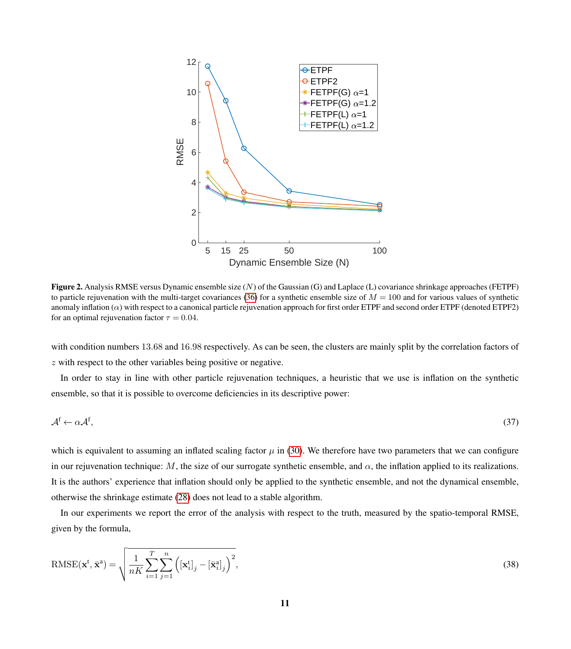<span id="page-11-1"></span>

**Figure 2.** Analysis RMSE versus Dynamic ensemble size  $(N)$  of the Gaussian  $(G)$  and Laplace  $(L)$  covariance shrinkage approaches (FETPF) to particle rejuvenation with the multi-target covariances [\(36\)](#page-10-1) for a synthetic ensemble size of  $M = 100$  and for various values of synthetic anomaly inflation  $(\alpha)$  with respect to a canonical particle rejuvenation approach for first order ETPF and second order ETPF (denoted ETPF2) for an optimal rejuvenation factor  $\tau = 0.04$ .

with condition numbers 13.68 and 16.98 respectively. As can be seen, the clusters are mainly split by the correlation factors of z with respect to the other variables being positive or negative.

<span id="page-11-0"></span>In order to stay in line with other particle rejuvenation techniques, a heuristic that we use is inflation on the synthetic ensemble, so that it is possible to overcome deficiencies in its descriptive power:

$$
\mathcal{A}^{\mathbf{f}} \leftarrow \alpha \mathcal{A}^{\mathbf{f}},\tag{37}
$$

which is equivalent to assuming an inflated scaling factor  $\mu$  in [\(30\)](#page-8-2). We therefore have two parameters that we can configure in our rejuvenation technique: M, the size of our surrogate synthetic ensemble, and  $\alpha$ , the inflation applied to its realizations. It is the authors' experience that inflation should only be applied to the synthetic ensemble, and not the dynamical ensemble, otherwise the shrinkage estimate [\(28\)](#page-7-0) does not lead to a stable algorithm.

In our experiments we report the error of the analysis with respect to the truth, measured by the spatio-temporal RMSE, given by the formula,

RMSE
$$
(\mathbf{x}^{\mathsf{t}}, \bar{\mathbf{x}}^{\mathsf{a}})
$$
 =  $\sqrt{\frac{1}{nK} \sum_{i=1}^{T} \sum_{j=1}^{n} \left( [\mathbf{x}_{i}^{\mathsf{t}}]_{j} - [\bar{\mathbf{x}}_{i}^{\mathsf{a}}]_{j} \right)^{2}}$ , (38)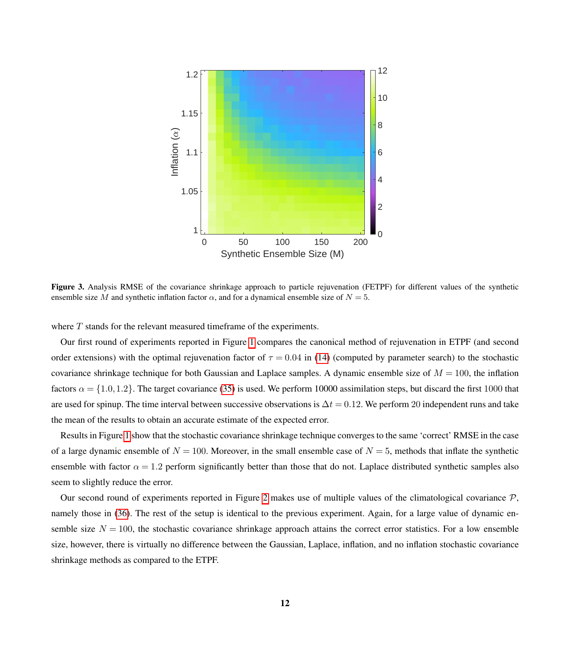<span id="page-12-0"></span>

Figure 3. Analysis RMSE of the covariance shrinkage approach to particle rejuvenation (FETPF) for different values of the synthetic ensemble size M and synthetic inflation factor  $\alpha$ , and for a dynamical ensemble size of  $N = 5$ .

where T stands for the relevant measured timeframe of the experiments.

Our first round of experiments reported in Figure [1](#page-10-2) compares the canonical method of rejuvenation in ETPF (and second order extensions) with the optimal rejuvenation factor of  $\tau = 0.04$  in [\(14\)](#page-5-4) (computed by parameter search) to the stochastic covariance shrinkage technique for both Gaussian and Laplace samples. A dynamic ensemble size of  $M = 100$ , the inflation factors  $\alpha = \{1.0, 1.2\}$ . The target covariance [\(35\)](#page-10-0) is used. We perform 10000 assimilation steps, but discard the first 1000 that are used for spinup. The time interval between successive observations is  $\Delta t = 0.12$ . We perform 20 independent runs and take the mean of the results to obtain an accurate estimate of the expected error.

Results in Figure [1](#page-10-2) show that the stochastic covariance shrinkage technique converges to the same 'correct' RMSE in the case of a large dynamic ensemble of  $N = 100$ . Moreover, in the small ensemble case of  $N = 5$ , methods that inflate the synthetic ensemble with factor  $\alpha = 1.2$  perform significantly better than those that do not. Laplace distributed synthetic samples also seem to slightly reduce the error.

Our second round of experiments reported in Figure [2](#page-11-1) makes use of multiple values of the climatological covariance  $P$ , namely those in [\(36\)](#page-10-1). The rest of the setup is identical to the previous experiment. Again, for a large value of dynamic ensemble size  $N = 100$ , the stochastic covariance shrinkage approach attains the correct error statistics. For a low ensemble size, however, there is virtually no difference between the Gaussian, Laplace, inflation, and no inflation stochastic covariance shrinkage methods as compared to the ETPF.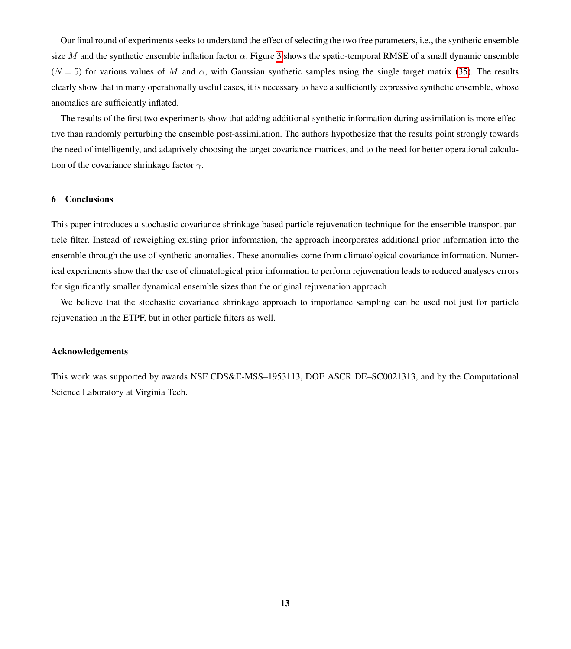Our final round of experiments seeks to understand the effect of selecting the two free parameters, i.e., the synthetic ensemble size M and the synthetic ensemble inflation factor  $\alpha$ . Figure [3](#page-12-0) shows the spatio-temporal RMSE of a small dynamic ensemble  $(N = 5)$  for various values of M and  $\alpha$ , with Gaussian synthetic samples using the single target matrix [\(35\)](#page-10-0). The results clearly show that in many operationally useful cases, it is necessary to have a sufficiently expressive synthetic ensemble, whose anomalies are sufficiently inflated.

The results of the first two experiments show that adding additional synthetic information during assimilation is more effective than randomly perturbing the ensemble post-assimilation. The authors hypothesize that the results point strongly towards the need of intelligently, and adaptively choosing the target covariance matrices, and to the need for better operational calculation of the covariance shrinkage factor  $\gamma$ .

#### <span id="page-13-0"></span>6 Conclusions

This paper introduces a stochastic covariance shrinkage-based particle rejuvenation technique for the ensemble transport particle filter. Instead of reweighing existing prior information, the approach incorporates additional prior information into the ensemble through the use of synthetic anomalies. These anomalies come from climatological covariance information. Numerical experiments show that the use of climatological prior information to perform rejuvenation leads to reduced analyses errors for significantly smaller dynamical ensemble sizes than the original rejuvenation approach.

We believe that the stochastic covariance shrinkage approach to importance sampling can be used not just for particle rejuvenation in the ETPF, but in other particle filters as well.

#### Acknowledgements

This work was supported by awards NSF CDS&E-MSS–1953113, DOE ASCR DE–SC0021313, and by the Computational Science Laboratory at Virginia Tech.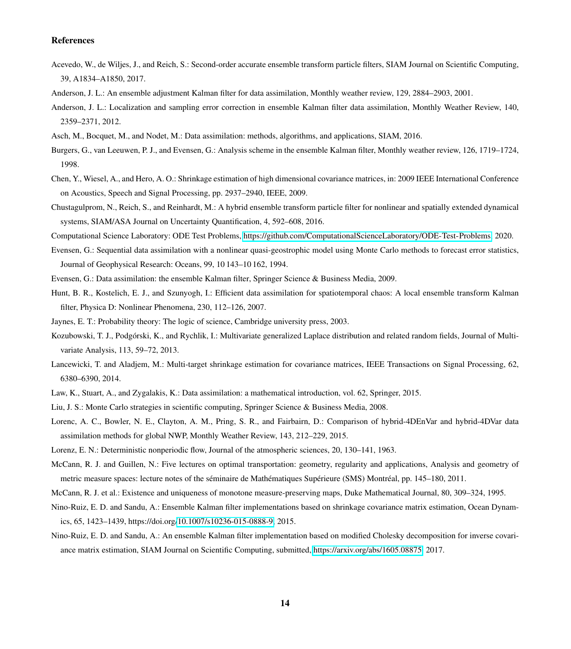#### References

- <span id="page-14-9"></span>Acevedo, W., de Wiljes, J., and Reich, S.: Second-order accurate ensemble transform particle filters, SIAM Journal on Scientific Computing, 39, A1834–A1850, 2017.
- <span id="page-14-13"></span><span id="page-14-10"></span>Anderson, J. L.: An ensemble adjustment Kalman filter for data assimilation, Monthly weather review, 129, 2884–2903, 2001.
- Anderson, J. L.: Localization and sampling error correction in ensemble Kalman filter data assimilation, Monthly Weather Review, 140, 2359–2371, 2012.
- <span id="page-14-3"></span><span id="page-14-0"></span>Asch, M., Bocquet, M., and Nodet, M.: Data assimilation: methods, algorithms, and applications, SIAM, 2016.
- Burgers, G., van Leeuwen, P. J., and Evensen, G.: Analysis scheme in the ensemble Kalman filter, Monthly weather review, 126, 1719–1724, 1998.
- <span id="page-14-18"></span>Chen, Y., Wiesel, A., and Hero, A. O.: Shrinkage estimation of high dimensional covariance matrices, in: 2009 IEEE International Conference on Acoustics, Speech and Signal Processing, pp. 2937–2940, IEEE, 2009.
- <span id="page-14-11"></span>Chustagulprom, N., Reich, S., and Reinhardt, M.: A hybrid ensemble transform particle filter for nonlinear and spatially extended dynamical systems, SIAM/ASA Journal on Uncertainty Quantification, 4, 592–608, 2016.
- <span id="page-14-21"></span><span id="page-14-4"></span>Computational Science Laboratory: ODE Test Problems, [https://github.com/ComputationalScienceLaboratory/ODE-Test-Problems,](https://github.com/ComputationalScienceLaboratory/ODE-Test-Problems) 2020.
- Evensen, G.: Sequential data assimilation with a nonlinear quasi-geostrophic model using Monte Carlo methods to forecast error statistics, Journal of Geophysical Research: Oceans, 99, 10 143–10 162, 1994.
- <span id="page-14-14"></span><span id="page-14-5"></span>Evensen, G.: Data assimilation: the ensemble Kalman filter, Springer Science & Business Media, 2009.
- Hunt, B. R., Kostelich, E. J., and Szunyogh, I.: Efficient data assimilation for spatiotemporal chaos: A local ensemble transform Kalman filter, Physica D: Nonlinear Phenomena, 230, 112–126, 2007.
- <span id="page-14-17"></span><span id="page-14-2"></span>Jaynes, E. T.: Probability theory: The logic of science, Cambridge university press, 2003.
- Kozubowski, T. J., Podgórski, K., and Rychlik, I.: Multivariate generalized Laplace distribution and related random fields, Journal of Multivariate Analysis, 113, 59–72, 2013.
- <span id="page-14-19"></span>Lancewicki, T. and Aladjem, M.: Multi-target shrinkage estimation for covariance matrices, IEEE Transactions on Signal Processing, 62, 6380–6390, 2014.
- <span id="page-14-6"></span><span id="page-14-1"></span>Law, K., Stuart, A., and Zygalakis, K.: Data assimilation: a mathematical introduction, vol. 62, Springer, 2015.
- <span id="page-14-16"></span>Liu, J. S.: Monte Carlo strategies in scientific computing, Springer Science & Business Media, 2008.
- Lorenc, A. C., Bowler, N. E., Clayton, A. M., Pring, S. R., and Fairbairn, D.: Comparison of hybrid-4DEnVar and hybrid-4DVar data assimilation methods for global NWP, Monthly Weather Review, 143, 212–229, 2015.
- <span id="page-14-20"></span><span id="page-14-8"></span>Lorenz, E. N.: Deterministic nonperiodic flow, Journal of the atmospheric sciences, 20, 130–141, 1963.
- McCann, R. J. and Guillen, N.: Five lectures on optimal transportation: geometry, regularity and applications, Analysis and geometry of metric measure spaces: lecture notes of the séminaire de Mathématiques Supérieure (SMS) Montréal, pp. 145–180, 2011.
- <span id="page-14-12"></span><span id="page-14-7"></span>McCann, R. J. et al.: Existence and uniqueness of monotone measure-preserving maps, Duke Mathematical Journal, 80, 309–324, 1995.
- Nino-Ruiz, E. D. and Sandu, A.: Ensemble Kalman filter implementations based on shrinkage covariance matrix estimation, Ocean Dynamics, 65, 1423–1439, https://doi.org[/10.1007/s10236-015-0888-9,](https://doi.org/10.1007/s10236-015-0888-9) 2015.
- <span id="page-14-15"></span>Nino-Ruiz, E. D. and Sandu, A.: An ensemble Kalman filter implementation based on modified Cholesky decomposition for inverse covariance matrix estimation, SIAM Journal on Scientific Computing, submitted, [https://arxiv.org/abs/1605.08875,](https://arxiv.org/abs/1605.08875) 2017.